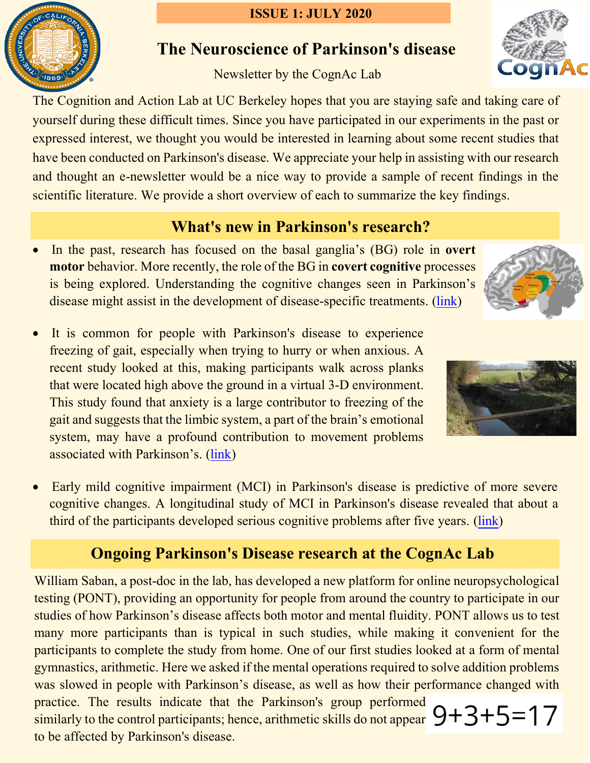# $.1868$

### **ISSUE 1: JULY 2020**

## **The Neuroscience of Parkinson's disease**

## Newsletter by the CognAc Lab

The Cognition and Action Lab at UC Berkeley hopes that you are staying safe and taking care of yourself during these difficult times. Since you have participated in our experiments in the past or expressed interest, we thought you would be interested in learning about some recent studies that have been conducted on Parkinson's disease. We appreciate your help in assisting with our research and thought an e-newsletter would be a nice way to provide a sample of recent findings in the scientific literature. We provide a short overview of each to summarize the key findings.

## **What's new in Parkinson's research?**

- In the past, research has focused on the basal ganglia's (BG) role in **overt motor** behavior. More recently, the role of the BG in **covert cognitive** processes is being explored. Understanding the cognitive changes seen in Parkinson's disease might assist in the development of disease-specific treatments. [\(link\)](https://www.ncbi.nlm.nih.gov/pmc/articles/PMC3049172/)
- It is common for people with Parkinson's disease to experience freezing of gait, especially when trying to hurry or when anxious. A recent study looked at this, making participants walk across planks that were located high above the ground in a virtual 3-D environment. This study found that anxiety is a large contributor to freezing of the gait and suggests that the limbic system, a part of the brain's emotional system, may have a profound contribution to movement problems associated with Parkinson's. [\(link\)](https://www.ncbi.nlm.nih.gov/pmc/articles/PMC4175083/)
- Early mild cognitive impairment (MCI) in Parkinson's disease is predictive of more severe cognitive changes. A longitudinal study of MCI in Parkinson's disease revealed that about a third of the participants developed serious cognitive problems after five years. [\(link\)](https://pubmed.ncbi.nlm.nih.gov/28108638/)

# **Ongoing Parkinson's Disease research at the CognAc Lab**

William Saban, a post-doc in the lab, has developed a new platform for online neuropsychological testing (PONT), providing an opportunity for people from around the country to participate in our studies of how Parkinson's disease affects both motor and mental fluidity. PONT allows us to test many more participants than is typical in such studies, while making it convenient for the participants to complete the study from home. One of our first studies looked at a form of mental gymnastics, arithmetic. Here we asked if the mental operations required to solve addition problems was slowed in people with Parkinson's disease, as well as how their performance changed with practice. The results indicate that the Parkinson's group performed similarly to the control participants; hence, arithmetic skills do not appear  $9+3+5=17$ to be affected by Parkinson's disease.